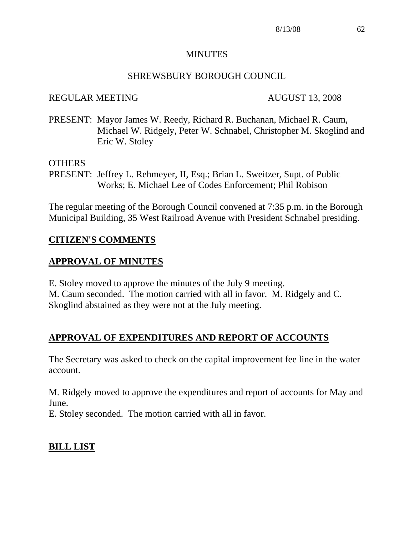#### MINUTES

#### SHREWSBURY BOROUGH COUNCIL

#### REGULAR MEETING AUGUST 13, 2008

PRESENT: Mayor James W. Reedy, Richard R. Buchanan, Michael R. Caum, Michael W. Ridgely, Peter W. Schnabel, Christopher M. Skoglind and Eric W. Stoley

#### OTHERS

PRESENT: Jeffrey L. Rehmeyer, II, Esq.; Brian L. Sweitzer, Supt. of Public Works; E. Michael Lee of Codes Enforcement; Phil Robison

The regular meeting of the Borough Council convened at 7:35 p.m. in the Borough Municipal Building, 35 West Railroad Avenue with President Schnabel presiding.

#### **CITIZEN'S COMMENTS**

#### **APPROVAL OF MINUTES**

E. Stoley moved to approve the minutes of the July 9 meeting. M. Caum seconded. The motion carried with all in favor. M. Ridgely and C. Skoglind abstained as they were not at the July meeting.

#### **APPROVAL OF EXPENDITURES AND REPORT OF ACCOUNTS**

The Secretary was asked to check on the capital improvement fee line in the water account.

M. Ridgely moved to approve the expenditures and report of accounts for May and June.

E. Stoley seconded. The motion carried with all in favor.

#### **BILL LIST**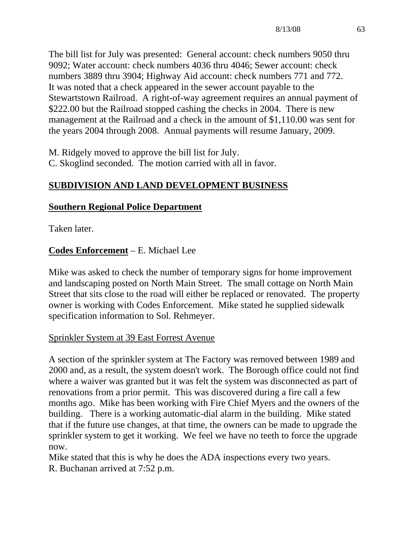The bill list for July was presented: General account: check numbers 9050 thru 9092; Water account: check numbers 4036 thru 4046; Sewer account: check numbers 3889 thru 3904; Highway Aid account: check numbers 771 and 772. It was noted that a check appeared in the sewer account payable to the Stewartstown Railroad. A right-of-way agreement requires an annual payment of \$222.00 but the Railroad stopped cashing the checks in 2004. There is new management at the Railroad and a check in the amount of \$1,110.00 was sent for the years 2004 through 2008. Annual payments will resume January, 2009.

M. Ridgely moved to approve the bill list for July. C. Skoglind seconded. The motion carried with all in favor.

# **SUBDIVISION AND LAND DEVELOPMENT BUSINESS**

## **Southern Regional Police Department**

Taken later.

# **Codes Enforcement** – E. Michael Lee

Mike was asked to check the number of temporary signs for home improvement and landscaping posted on North Main Street. The small cottage on North Main Street that sits close to the road will either be replaced or renovated. The property owner is working with Codes Enforcement. Mike stated he supplied sidewalk specification information to Sol. Rehmeyer.

# Sprinkler System at 39 East Forrest Avenue

A section of the sprinkler system at The Factory was removed between 1989 and 2000 and, as a result, the system doesn't work. The Borough office could not find where a waiver was granted but it was felt the system was disconnected as part of renovations from a prior permit. This was discovered during a fire call a few months ago. Mike has been working with Fire Chief Myers and the owners of the building. There is a working automatic-dial alarm in the building. Mike stated that if the future use changes, at that time, the owners can be made to upgrade the sprinkler system to get it working. We feel we have no teeth to force the upgrade now.

Mike stated that this is why he does the ADA inspections every two years. R. Buchanan arrived at 7:52 p.m.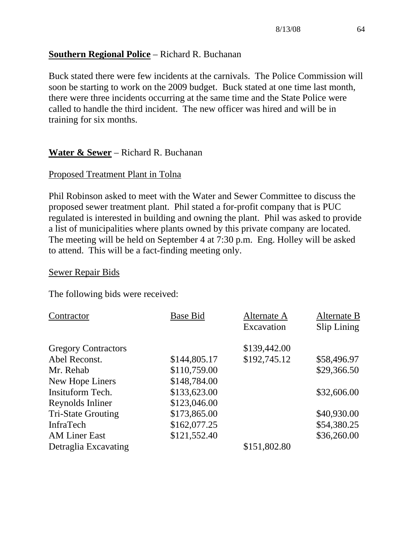## **Southern Regional Police** – Richard R. Buchanan

Buck stated there were few incidents at the carnivals. The Police Commission will soon be starting to work on the 2009 budget. Buck stated at one time last month, there were three incidents occurring at the same time and the State Police were called to handle the third incident. The new officer was hired and will be in training for six months.

# **Water & Sewer** – Richard R. Buchanan

## Proposed Treatment Plant in Tolna

Phil Robinson asked to meet with the Water and Sewer Committee to discuss the proposed sewer treatment plant. Phil stated a for-profit company that is PUC regulated is interested in building and owning the plant. Phil was asked to provide a list of municipalities where plants owned by this private company are located. The meeting will be held on September 4 at 7:30 p.m. Eng. Holley will be asked to attend. This will be a fact-finding meeting only.

#### Sewer Repair Bids

The following bids were received:

| Contractor                 | <b>Base Bid</b> | Alternate A<br>Excavation | Alternate B<br>Slip Lining |
|----------------------------|-----------------|---------------------------|----------------------------|
|                            |                 |                           |                            |
| <b>Gregory Contractors</b> |                 | \$139,442.00              |                            |
| Abel Reconst.              | \$144,805.17    | \$192,745.12              | \$58,496.97                |
| Mr. Rehab                  | \$110,759.00    |                           | \$29,366.50                |
| New Hope Liners            | \$148,784.00    |                           |                            |
| Insituform Tech.           | \$133,623.00    |                           | \$32,606.00                |
| Reynolds Inliner           | \$123,046.00    |                           |                            |
| <b>Tri-State Grouting</b>  | \$173,865.00    |                           | \$40,930.00                |
| InfraTech                  | \$162,077.25    |                           | \$54,380.25                |
| <b>AM Liner East</b>       | \$121,552.40    |                           | \$36,260.00                |
| Detraglia Excavating       |                 | \$151,802.80              |                            |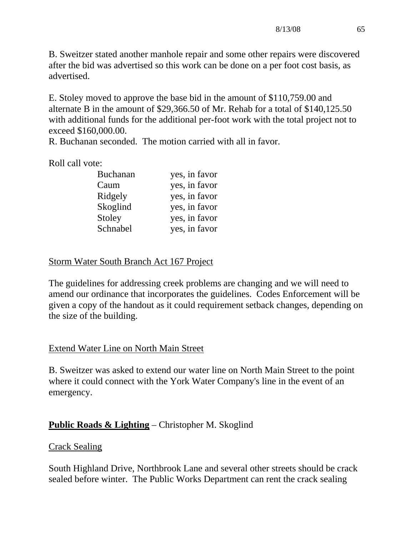B. Sweitzer stated another manhole repair and some other repairs were discovered after the bid was advertised so this work can be done on a per foot cost basis, as advertised.

E. Stoley moved to approve the base bid in the amount of \$110,759.00 and alternate B in the amount of \$29,366.50 of Mr. Rehab for a total of \$140,125.50 with additional funds for the additional per-foot work with the total project not to exceed \$160,000.00.

R. Buchanan seconded. The motion carried with all in favor.

Roll call vote:

| <b>Buchanan</b> | yes, in favor |
|-----------------|---------------|
| Caum            | yes, in favor |
| Ridgely         | yes, in favor |
| Skoglind        | yes, in favor |
| Stoley          | yes, in favor |
| Schnabel        | yes, in favor |

## Storm Water South Branch Act 167 Project

The guidelines for addressing creek problems are changing and we will need to amend our ordinance that incorporates the guidelines. Codes Enforcement will be given a copy of the handout as it could requirement setback changes, depending on the size of the building.

## Extend Water Line on North Main Street

B. Sweitzer was asked to extend our water line on North Main Street to the point where it could connect with the York Water Company's line in the event of an emergency.

# **Public Roads & Lighting** – Christopher M. Skoglind

## Crack Sealing

South Highland Drive, Northbrook Lane and several other streets should be crack sealed before winter. The Public Works Department can rent the crack sealing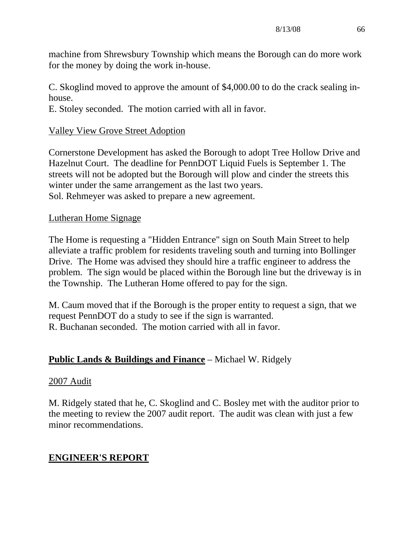machine from Shrewsbury Township which means the Borough can do more work for the money by doing the work in-house.

C. Skoglind moved to approve the amount of \$4,000.00 to do the crack sealing inhouse.

E. Stoley seconded. The motion carried with all in favor.

## Valley View Grove Street Adoption

Cornerstone Development has asked the Borough to adopt Tree Hollow Drive and Hazelnut Court. The deadline for PennDOT Liquid Fuels is September 1. The streets will not be adopted but the Borough will plow and cinder the streets this winter under the same arrangement as the last two years. Sol. Rehmeyer was asked to prepare a new agreement.

## Lutheran Home Signage

The Home is requesting a "Hidden Entrance" sign on South Main Street to help alleviate a traffic problem for residents traveling south and turning into Bollinger Drive. The Home was advised they should hire a traffic engineer to address the problem. The sign would be placed within the Borough line but the driveway is in the Township. The Lutheran Home offered to pay for the sign.

M. Caum moved that if the Borough is the proper entity to request a sign, that we request PennDOT do a study to see if the sign is warranted. R. Buchanan seconded. The motion carried with all in favor.

## **Public Lands & Buildings and Finance** – Michael W. Ridgely

#### 2007 Audit

M. Ridgely stated that he, C. Skoglind and C. Bosley met with the auditor prior to the meeting to review the 2007 audit report. The audit was clean with just a few minor recommendations.

## **ENGINEER'S REPORT**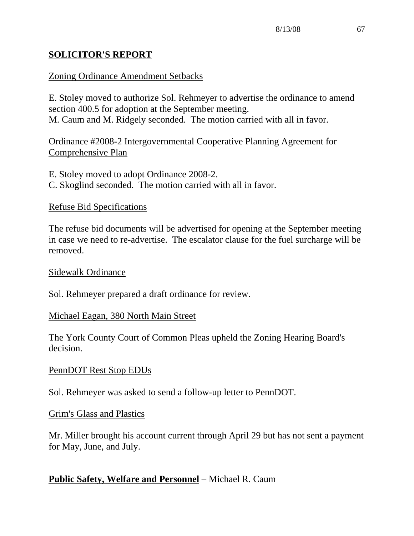# **SOLICITOR'S REPORT**

## Zoning Ordinance Amendment Setbacks

E. Stoley moved to authorize Sol. Rehmeyer to advertise the ordinance to amend section 400.5 for adoption at the September meeting. M. Caum and M. Ridgely seconded. The motion carried with all in favor.

Ordinance #2008-2 Intergovernmental Cooperative Planning Agreement for Comprehensive Plan

- E. Stoley moved to adopt Ordinance 2008-2.
- C. Skoglind seconded. The motion carried with all in favor.

## Refuse Bid Specifications

The refuse bid documents will be advertised for opening at the September meeting in case we need to re-advertise. The escalator clause for the fuel surcharge will be removed.

#### Sidewalk Ordinance

Sol. Rehmeyer prepared a draft ordinance for review.

#### Michael Eagan, 380 North Main Street

The York County Court of Common Pleas upheld the Zoning Hearing Board's decision.

#### PennDOT Rest Stop EDUs

Sol. Rehmeyer was asked to send a follow-up letter to PennDOT.

#### Grim's Glass and Plastics

Mr. Miller brought his account current through April 29 but has not sent a payment for May, June, and July.

## **Public Safety, Welfare and Personnel** – Michael R. Caum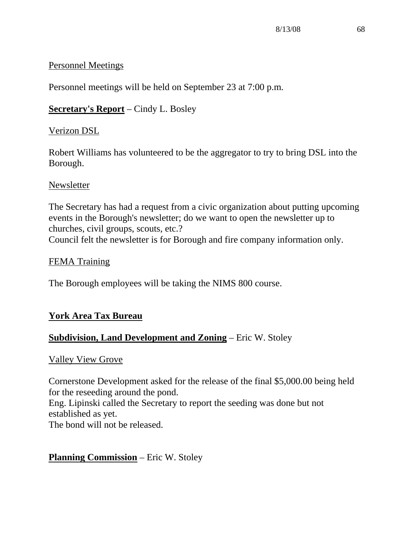## Personnel Meetings

Personnel meetings will be held on September 23 at 7:00 p.m.

# **Secretary's Report** – Cindy L. Bosley

# Verizon DSL

Robert Williams has volunteered to be the aggregator to try to bring DSL into the Borough.

# **Newsletter**

The Secretary has had a request from a civic organization about putting upcoming events in the Borough's newsletter; do we want to open the newsletter up to churches, civil groups, scouts, etc.? Council felt the newsletter is for Borough and fire company information only.

# FEMA Training

The Borough employees will be taking the NIMS 800 course.

# **York Area Tax Bureau**

# **Subdivision, Land Development and Zoning** – Eric W. Stoley

# Valley View Grove

Cornerstone Development asked for the release of the final \$5,000.00 being held for the reseeding around the pond. Eng. Lipinski called the Secretary to report the seeding was done but not established as yet. The bond will not be released.

# **Planning Commission** – Eric W. Stoley